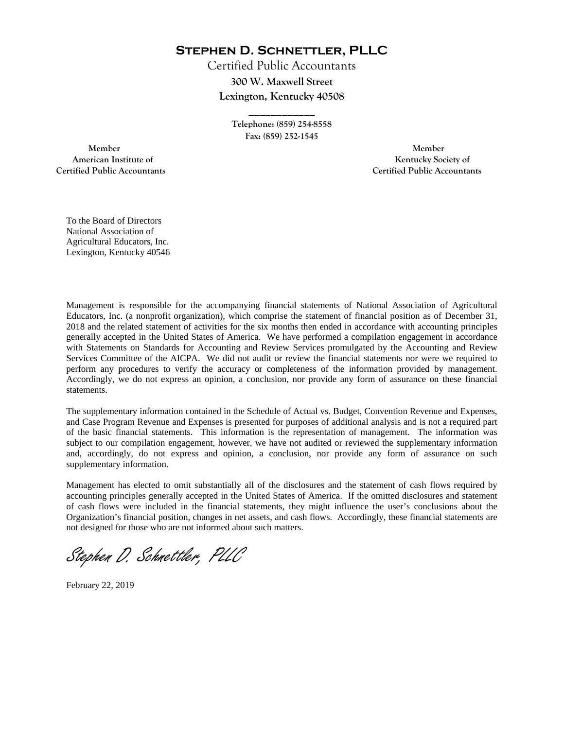**Stephen D. Schnettler, PLLC**

Certified Public Accountants **300 W. Maxwell Street Lexington, Kentucky 40508** 

> **Telephone: (859) 254-8558 Fax: (859) 252-1545**

**\_\_\_\_\_\_\_\_\_\_\_\_** 

 **Member Member Certified Public Accountants Certified Public Accountants** 

American Institute of **Kentucky Society of American Institute of** 

To the Board of Directors National Association of Agricultural Educators, Inc. Lexington, Kentucky 40546

Management is responsible for the accompanying financial statements of National Association of Agricultural Educators, Inc. (a nonprofit organization), which comprise the statement of financial position as of December 31, 2018 and the related statement of activities for the six months then ended in accordance with accounting principles generally accepted in the United States of America. We have performed a compilation engagement in accordance with Statements on Standards for Accounting and Review Services promulgated by the Accounting and Review Services Committee of the AICPA. We did not audit or review the financial statements nor were we required to perform any procedures to verify the accuracy or completeness of the information provided by management. Accordingly, we do not express an opinion, a conclusion, nor provide any form of assurance on these financial statements.

The supplementary information contained in the Schedule of Actual vs. Budget, Convention Revenue and Expenses, and Case Program Revenue and Expenses is presented for purposes of additional analysis and is not a required part of the basic financial statements. This information is the representation of management. The information was subject to our compilation engagement, however, we have not audited or reviewed the supplementary information and, accordingly, do not express and opinion, a conclusion, nor provide any form of assurance on such supplementary information.

Management has elected to omit substantially all of the disclosures and the statement of cash flows required by accounting principles generally accepted in the United States of America. If the omitted disclosures and statement of cash flows were included in the financial statements, they might influence the user's conclusions about the Organization's financial position, changes in net assets, and cash flows. Accordingly, these financial statements are not designed for those who are not informed about such matters.

Stephen D. Schnettler, PLLC

February 22, 2019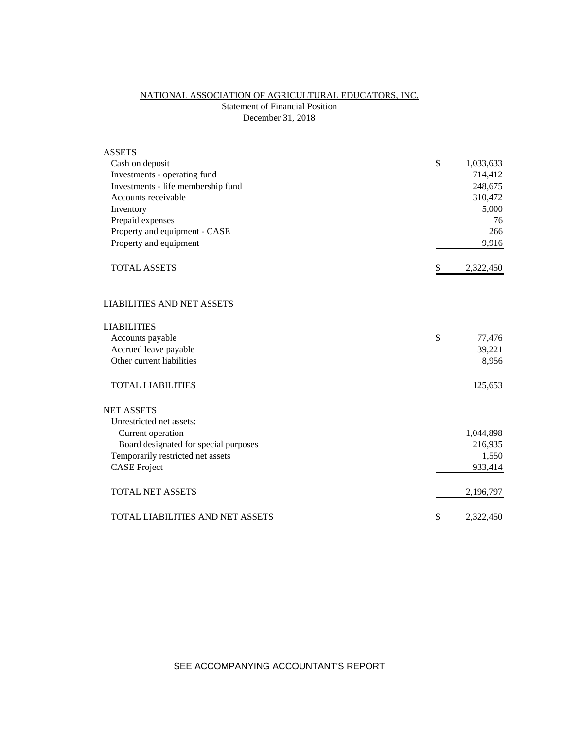## NATIONAL ASSOCIATION OF AGRICULTURAL EDUCATORS, INC. **Statement of Financial Position** December 31, 2018

| <b>ASSETS</b>                         |                 |
|---------------------------------------|-----------------|
| Cash on deposit                       | \$<br>1,033,633 |
| Investments - operating fund          | 714,412         |
| Investments - life membership fund    | 248,675         |
| Accounts receivable                   | 310,472         |
| Inventory                             | 5,000           |
| Prepaid expenses                      | 76              |
| Property and equipment - CASE         | 266             |
| Property and equipment                | 9,916           |
| <b>TOTAL ASSETS</b>                   | \$<br>2,322,450 |
| <b>LIABILITIES AND NET ASSETS</b>     |                 |
| <b>LIABILITIES</b>                    |                 |
| Accounts payable                      | \$<br>77,476    |
| Accrued leave payable                 | 39,221          |
| Other current liabilities             | 8,956           |
| <b>TOTAL LIABILITIES</b>              | 125,653         |
| <b>NET ASSETS</b>                     |                 |
| Unrestricted net assets:              |                 |
| Current operation                     | 1,044,898       |
| Board designated for special purposes | 216,935         |
| Temporarily restricted net assets     | 1,550           |
| <b>CASE Project</b>                   | 933,414         |
| <b>TOTAL NET ASSETS</b>               | 2,196,797       |
| TOTAL LIABILITIES AND NET ASSETS      | \$<br>2,322,450 |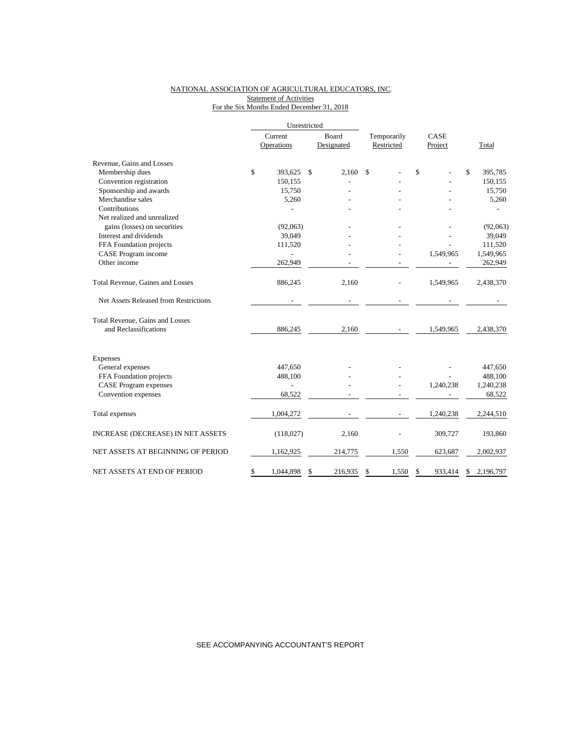#### NATIONAL ASSOCIATION OF AGRICULTURAL EDUCATORS, INC. Statement of Activities For the Six Months Ended December 31, 2018

|                                       | Unrestricted    |               |             |    |           |    |           |
|---------------------------------------|-----------------|---------------|-------------|----|-----------|----|-----------|
|                                       | Current         | Board         | Temporarily |    | CASE      |    |           |
|                                       | Operations      | Designated    | Restricted  |    | Project   |    | Total     |
| Revenue, Gains and Losses             |                 |               |             |    |           |    |           |
| Membership dues                       | \$<br>393,625   | \$<br>2.160   | \$          | \$ |           | \$ | 395,785   |
| Convention registration               | 150,155         |               |             |    |           |    | 150,155   |
| Sponsorship and awards                | 15,750          |               |             |    |           |    | 15,750    |
| Merchandise sales                     | 5,260           |               |             |    |           |    | 5,260     |
| Contributions                         |                 |               |             |    |           |    |           |
| Net realized and unrealized           |                 |               |             |    |           |    |           |
| gains (losses) on securities          | (92,063)        |               |             |    |           |    | (92,063)  |
| Interest and dividends                | 39,049          |               |             |    |           |    | 39,049    |
| FFA Foundation projects               | 111,520         |               |             |    |           |    | 111,520   |
| CASE Program income                   |                 |               |             |    | 1,549,965 |    | 1,549,965 |
| Other income                          | 262,949         |               |             |    |           |    | 262,949   |
| Total Revenue, Gaines and Losses      | 886,245         | 2,160         |             |    | 1,549,965 |    | 2,438,370 |
| Net Assets Released from Restrictions |                 |               |             |    |           |    |           |
| Total Revenue, Gains and Losses       |                 |               |             |    |           |    |           |
| and Reclassifications                 | 886,245         | 2,160         |             |    | 1,549,965 |    | 2,438,370 |
| Expenses                              |                 |               |             |    |           |    |           |
| General expenses                      | 447,650         |               |             |    |           |    | 447,650   |
| FFA Foundation projects               | 488,100         |               |             |    |           |    | 488,100   |
| <b>CASE Program expenses</b>          |                 |               |             |    | 1,240,238 |    | 1,240,238 |
| Convention expenses                   | 68,522          |               |             |    |           |    | 68,522    |
| Total expenses                        | 1,004,272       |               |             |    | 1,240,238 |    | 2,244,510 |
| INCREASE (DECREASE) IN NET ASSETS     | (118, 027)      | 2,160         |             |    | 309,727   |    | 193,860   |
| NET ASSETS AT BEGINNING OF PERIOD     | 1,162,925       | 214,775       | 1,550       |    | 623,687   |    | 2,002,937 |
| NET ASSETS AT END OF PERIOD           | \$<br>1,044,898 | \$<br>216,935 | 1,550<br>\$ | \$ | 933,414   | \$ | 2,196,797 |

SEE ACCOMPANYING ACCOUNTANT'S REPORT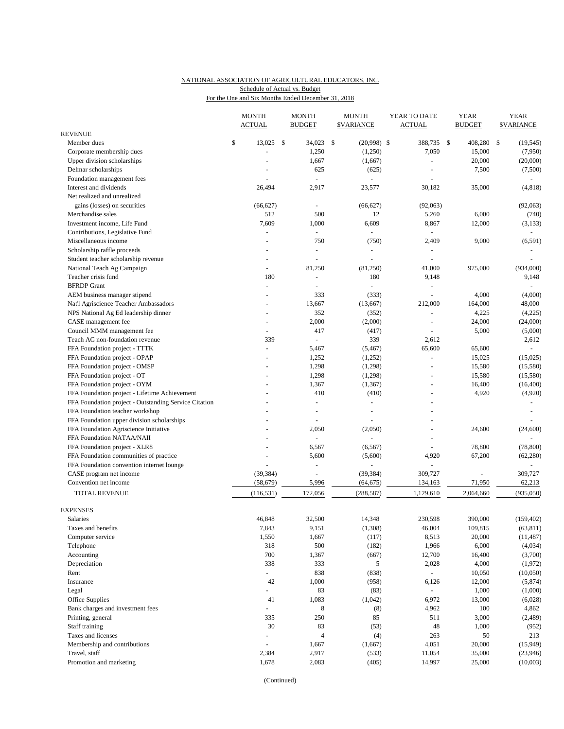## NATIONAL ASSOCIATION OF AGRICULTURAL EDUCATORS, INC. Schedule of Actual vs. Budget

For the One and Six Months Ended December 31, 2018

|                                                       |    | <b>MONTH</b><br><b>ACTUAL</b> |     | <b>MONTH</b><br><b>BUDGET</b> | <b>MONTH</b><br><b><i>SVARIANCE</i></b> |               | YEAR TO DATE<br><b>ACTUAL</b> |                     |    | <b>YEAR</b><br><b>BUDGET</b> | <b>YEAR</b><br><b>SVARIANCE</b> |            |
|-------------------------------------------------------|----|-------------------------------|-----|-------------------------------|-----------------------------------------|---------------|-------------------------------|---------------------|----|------------------------------|---------------------------------|------------|
| <b>REVENUE</b>                                        |    |                               |     |                               |                                         |               |                               |                     |    |                              |                                 |            |
| Member dues                                           | \$ | 13,025                        | -\$ | 34,023                        | -\$                                     | $(20,998)$ \$ |                               | 388,735             | \$ | 408,280                      | \$                              | (19, 545)  |
| Corporate membership dues                             |    |                               |     | 1,250                         |                                         | (1,250)       |                               | 7,050               |    | 15,000                       |                                 | (7,950)    |
| Upper division scholarships                           |    |                               |     | 1,667                         |                                         | (1,667)       |                               | ÷,                  |    | 20,000                       |                                 | (20,000)   |
| Delmar scholarships                                   |    |                               |     | 625                           |                                         | (625)         |                               |                     |    | 7,500                        |                                 | (7,500)    |
| Foundation management fees                            |    | ÷,                            |     | $\overline{\phantom{a}}$      |                                         |               |                               |                     |    |                              |                                 | $\sim$     |
| Interest and dividends                                |    | 26,494                        |     | 2,917                         |                                         | 23,577        |                               | 30,182              |    | 35,000                       |                                 | (4,818)    |
| Net realized and unrealized                           |    |                               |     |                               |                                         |               |                               |                     |    |                              |                                 |            |
| gains (losses) on securities                          |    | (66, 627)                     |     |                               |                                         | (66, 627)     |                               | (92,063)            |    |                              |                                 | (92,063)   |
| Merchandise sales                                     |    | 512                           |     | 500                           |                                         | 12            |                               | 5,260               |    | 6,000                        |                                 | (740)      |
| Investment income, Life Fund                          |    | 7,609                         |     | 1,000                         |                                         | 6,609         |                               | 8,867               |    | 12,000                       |                                 | (3, 133)   |
| Contributions, Legislative Fund                       |    |                               |     | ÷                             |                                         |               |                               | ÷                   |    |                              |                                 | $\sim$     |
| Miscellaneous income                                  |    |                               |     | 750                           |                                         | (750)         |                               | 2,409               |    | 9,000                        |                                 | (6, 591)   |
| Scholarship raffle proceeds                           |    |                               |     |                               |                                         |               |                               |                     |    |                              |                                 |            |
| Student teacher scholarship revenue                   |    |                               |     |                               |                                         |               |                               |                     |    |                              |                                 |            |
| National Teach Ag Campaign                            |    | $\overline{a}$                |     | 81,250                        |                                         | (81,250)      |                               | 41,000              |    | 975,000                      |                                 | (934,000)  |
| Teacher crisis fund                                   |    | 180                           |     |                               |                                         | 180           |                               | 9,148               |    |                              |                                 | 9,148      |
| <b>BFRDP</b> Grant                                    |    | $\overline{a}$                |     | $\sim$                        |                                         | ÷             |                               | $\equiv$            |    |                              |                                 |            |
| AEM business manager stipend                          |    |                               |     | 333                           |                                         | (333)         |                               | L.                  |    | 4,000                        |                                 | (4,000)    |
| Nat'l Agriscience Teacher Ambassadors                 |    |                               |     | 13,667                        |                                         | (13,667)      |                               | 212,000             |    | 164,000                      |                                 | 48,000     |
| NPS National Ag Ed leadership dinner                  |    |                               |     | 352                           |                                         | (352)         |                               |                     |    | 4,225                        |                                 | (4,225)    |
| CASE management fee                                   |    | $\overline{a}$                |     | 2,000                         |                                         | (2,000)       |                               | ÷,                  |    | 24,000                       |                                 | (24,000)   |
| Council MMM management fee                            |    |                               |     | 417                           |                                         | (417)         |                               |                     |    | 5,000                        |                                 | (5,000)    |
| Teach AG non-foundation revenue                       |    | 339                           |     | $\overline{\phantom{a}}$      |                                         | 339           |                               | 2,612               |    |                              |                                 | 2,612      |
| FFA Foundation project - TTTK                         |    | $\overline{a}$                |     | 5,467                         |                                         | (5, 467)      |                               | 65,600              |    | 65,600                       |                                 | $\sim$     |
| FFA Foundation project - OPAP                         |    |                               |     | 1,252                         |                                         | (1,252)       |                               | $\bar{\phantom{a}}$ |    | 15,025                       |                                 | (15,025)   |
| FFA Foundation project - OMSP                         |    |                               |     | 1,298                         |                                         | (1,298)       |                               | L,                  |    | 15,580                       |                                 | (15,580)   |
| FFA Foundation project - OT                           |    |                               |     | 1,298                         |                                         | (1,298)       |                               | ÷                   |    | 15,580                       |                                 | (15,580)   |
| FFA Foundation project - OYM                          |    |                               |     | 1,367                         |                                         | (1, 367)      |                               | ä,                  |    | 16,400                       |                                 | (16,400)   |
| FFA Foundation project - Lifetime Achievement         |    |                               |     | 410                           |                                         | (410)         |                               |                     |    | 4,920                        |                                 | (4,920)    |
| FFA Foundation project - Outstanding Service Citation |    |                               |     |                               |                                         | ä,            |                               |                     |    |                              |                                 |            |
| FFA Foundation teacher workshop                       |    |                               |     | $\sim$                        |                                         | $\sim$        |                               |                     |    |                              |                                 |            |
| FFA Foundation upper division scholarships            |    |                               |     |                               |                                         |               |                               |                     |    |                              |                                 |            |
| FFA Foundation Agriscience Initiative                 |    |                               |     | 2,050                         |                                         | (2,050)       |                               |                     |    | 24,600                       |                                 | (24, 600)  |
| FFA Foundation NATAA/NAII                             |    |                               |     |                               |                                         |               |                               |                     |    |                              |                                 |            |
| FFA Foundation project - XLR8                         |    |                               |     | 6,567                         |                                         | (6, 567)      |                               |                     |    | 78,800                       |                                 | (78, 800)  |
| FFA Foundation communities of practice                |    |                               |     | 5,600                         |                                         | (5,600)       |                               | 4,920               |    | 67,200                       |                                 | (62, 280)  |
| FFA Foundation convention internet lounge             |    |                               |     |                               |                                         |               |                               | ÷,                  |    |                              |                                 | $\omega$   |
| CASE program net income                               |    | (39, 384)                     |     | ÷,                            |                                         | (39, 384)     |                               | 309,727             |    |                              |                                 | 309,727    |
| Convention net income                                 |    | (58, 679)                     |     | 5,996                         |                                         | (64, 675)     |                               | 134,163             |    | 71,950                       |                                 | 62,213     |
| TOTAL REVENUE                                         |    | (116, 531)                    |     | 172,056                       |                                         | (288, 587)    |                               | 1,129,610           |    | 2,064,660                    |                                 | (935,050)  |
| <b>EXPENSES</b>                                       |    |                               |     |                               |                                         |               |                               |                     |    |                              |                                 |            |
| Salaries                                              |    | 46,848                        |     | 32,500                        |                                         | 14,348        |                               | 230,598             |    | 390,000                      |                                 | (159, 402) |
| Taxes and benefits                                    |    | 7,843                         |     | 9,151                         |                                         | (1,308)       |                               | 46,004              |    | 109,815                      |                                 | (63, 811)  |
| Computer service                                      |    | 1,550                         |     | 1,667                         |                                         | (117)         |                               | 8,513               |    | 20,000                       |                                 | (11, 487)  |
| Telephone                                             |    | 318                           |     | 500                           |                                         | (182)         |                               | 1,966               |    | 6,000                        |                                 | (4,034)    |
| Accounting                                            |    | 700                           |     | 1,367                         |                                         | (667)         |                               | 12,700              |    | 16,400                       |                                 | (3,700)    |
| Depreciation                                          |    | 338                           |     | 333                           |                                         | 5             |                               | 2,028               |    | 4,000                        |                                 | (1,972)    |
| Rent                                                  |    | $\blacksquare$                |     | 838                           |                                         | (838)         |                               | $\equiv$            |    | 10,050                       |                                 | (10,050)   |
| Insurance                                             |    | 42                            |     | 1,000                         |                                         | (958)         |                               | 6,126               |    | 12,000                       |                                 | (5,874)    |
| Legal                                                 |    |                               |     | 83                            |                                         | (83)          |                               |                     |    | 1,000                        |                                 | (1,000)    |
| Office Supplies                                       |    | 41                            |     | 1,083                         |                                         | (1,042)       |                               | 6,972               |    | 13,000                       |                                 | (6,028)    |
| Bank charges and investment fees                      |    | $\omega$                      |     | 8                             |                                         | (8)           |                               | 4,962               |    | 100                          |                                 | 4,862      |
| Printing, general                                     |    | 335                           |     | 250                           |                                         | 85            |                               | 511                 |    | 3,000                        |                                 | (2,489)    |
| Staff training                                        |    | 30                            |     | 83                            |                                         | (53)          |                               | 48                  |    | 1,000                        |                                 | (952)      |
| Taxes and licenses                                    |    | $\sim$                        |     | $\overline{4}$                |                                         | (4)           |                               | 263                 |    | 50                           |                                 | 213        |
| Membership and contributions                          |    | ÷,                            |     | 1,667                         |                                         | (1,667)       |                               | 4,051               |    | 20,000                       |                                 | (15,949)   |
| Travel, staff                                         |    | 2,384                         |     | 2,917                         |                                         | (533)         |                               | 11,054              |    | 35,000                       |                                 | (23, 946)  |
| Promotion and marketing                               |    | 1,678                         |     | 2,083                         |                                         | (405)         |                               | 14,997              |    | 25,000                       |                                 | (10,003)   |

(Continued)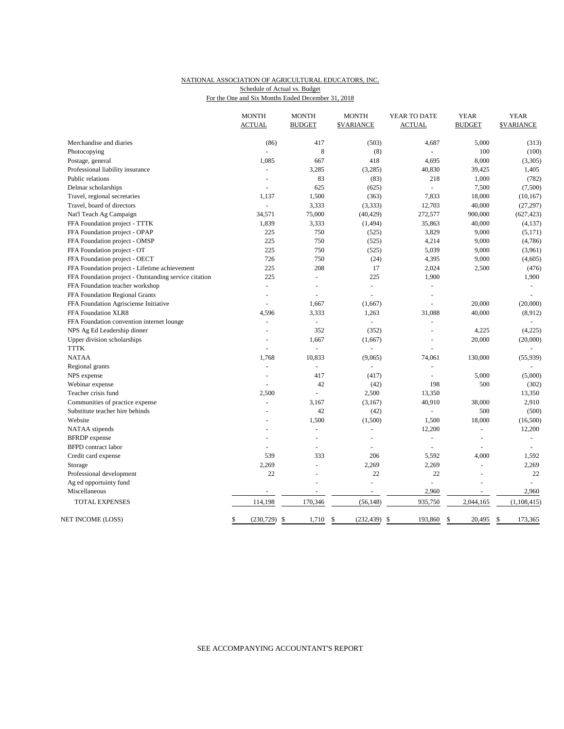## NATIONAL ASSOCIATION OF AGRICULTURAL EDUCATORS, INC. Schedule of Actual vs. Budget

For the One and Six Months Ended December 31, 2018

|                                                       | <b>MONTH</b><br><b>ACTUAL</b> | <b>MONTH</b><br><b>BUDGET</b> | <b>MONTH</b><br><b><i>SVARIANCE</i></b> | YEAR TO DATE<br><b>ACTUAL</b> | <b>YEAR</b><br><b>BUDGET</b> | <b>YEAR</b><br><b>SVARIANCE</b> |
|-------------------------------------------------------|-------------------------------|-------------------------------|-----------------------------------------|-------------------------------|------------------------------|---------------------------------|
| Merchandise and diaries                               | (86)                          | 417                           | (503)                                   | 4,687                         | 5,000                        | (313)                           |
| Photocopying                                          |                               | 8                             | (8)                                     |                               | 100                          | (100)                           |
| Postage, general                                      | 1,085                         | 667                           | 418                                     | 4,695                         | 8,000                        | (3,305)                         |
| Professional liability insurance                      | ÷,                            | 3,285                         | (3,285)                                 | 40,830                        | 39,425                       | 1,405                           |
| Public relations                                      | $\overline{a}$                | 83                            | (83)                                    | 218                           | 1,000                        | (782)                           |
| Delmar scholarships                                   |                               | 625                           | (625)                                   |                               | 7,500                        | (7,500)                         |
| Travel, regional secretaries                          | 1,137                         | 1,500                         | (363)                                   | 7,833                         | 18,000                       | (10, 167)                       |
| Travel, board of directors                            | ä,                            | 3,333                         | (3, 333)                                | 12,703                        | 40,000                       | (27, 297)                       |
| Nat'l Teach Ag Campaign                               | 34,571                        | 75,000                        | (40, 429)                               | 272,577                       | 900,000                      | (627, 423)                      |
| FFA Foundation project - TTTK                         | 1,839                         | 3,333                         | (1, 494)                                | 35,863                        | 40,000                       | (4, 137)                        |
| FFA Foundation project - OPAP                         | 225                           | 750                           | (525)                                   | 3,829                         | 9,000                        | (5,171)                         |
| FFA Foundation project - OMSP                         | 225                           | 750                           | (525)                                   | 4,214                         | 9,000                        | (4,786)                         |
| FFA Foundation project - OT                           | 225                           | 750                           | (525)                                   | 5,039                         | 9,000                        | (3,961)                         |
| FFA Foundation project - OECT                         | 726                           | 750                           | (24)                                    | 4,395                         | 9,000                        | (4,605)                         |
| FFA Foundation project - Lifetime achievement         | 225                           | 208                           | 17                                      | 2,024                         | 2,500                        | (476)                           |
| FFA Foundation project - Outstanding service citation | 225                           | ÷,                            | 225                                     | 1,900                         |                              | 1,900                           |
| FFA Foundation teacher workshop                       | L,                            | L.                            | ÷,                                      | ÷,                            |                              | $\overline{\phantom{a}}$        |
| FFA Foundation Regional Grants                        | ÷                             | ÷,                            | ÷,                                      | ÷.                            |                              | ÷.                              |
| FFA Foundation Agrisciense Initiative                 |                               | 1,667                         | (1,667)                                 |                               | 20,000                       | (20,000)                        |
| FFA Foundation XLR8                                   | 4,596                         | 3,333                         | 1,263                                   | 31,088                        | 40,000                       | (8,912)                         |
| FFA Foundation convention internet lounge             | L,                            | $\Box$                        | $\overline{a}$                          | ÷,                            |                              |                                 |
| NPS Ag Ed Leadership dinner                           | $\overline{a}$                | 352                           | (352)                                   | L.                            | 4,225                        | (4,225)                         |
| Upper division scholarships                           |                               | 1.667                         | (1,667)                                 | L,                            | 20,000                       | (20,000)                        |
| <b>TTTK</b>                                           |                               |                               |                                         |                               |                              |                                 |
| <b>NATAA</b>                                          | 1.768                         | 10,833                        | (9,065)                                 | 74,061                        | 130,000                      | (55, 939)                       |
| Regional grants                                       | L.                            | $\omega$                      | ÷,                                      | ÷,                            |                              |                                 |
| NPS expense                                           | L.                            | 417                           | (417)                                   | $\overline{a}$                | 5,000                        | (5,000)                         |
| Webinar expense                                       |                               | 42                            | (42)                                    | 198                           | 500                          | (302)                           |
| Teacher crisis fund                                   | 2,500                         | ÷,                            | 2,500                                   | 13,350                        |                              | 13,350                          |
| Communities of practice expense                       |                               | 3,167                         | (3,167)                                 | 40,910                        | 38,000                       | 2,910                           |
| Substitute teacher hire behinds                       |                               | 42                            | (42)                                    | $\bar{\phantom{a}}$           | 500                          | (500)                           |
| Website                                               |                               | 1,500                         | (1,500)                                 | 1,500                         | 18,000                       | (16,500)                        |
| NATAA stipends                                        |                               | ÷,                            | ÷,                                      | 12,200                        | L.                           | 12,200                          |
| <b>BFRDP</b> expense                                  | L,                            | L,                            | $\bar{a}$                               | $\overline{\phantom{a}}$      | ÷,                           | $\omega$                        |
| <b>BFPD</b> contract labor                            |                               | ÷                             |                                         | $\sim$                        |                              |                                 |
| Credit card expense                                   | 539                           | 333                           | 206                                     | 5,592                         | 4,000                        | 1,592                           |
| Storage                                               | 2,269                         | L.                            | 2,269                                   | 2,269                         | $\sim$                       | 2,269                           |
| Professional development                              | 22                            |                               | 22                                      | 22                            |                              | 22                              |
| Ag ed opportuinty fund                                |                               | L,                            | ÷,                                      |                               |                              |                                 |
| Miscellaneous                                         |                               |                               |                                         | 2,960                         |                              | 2,960                           |
| <b>TOTAL EXPENSES</b>                                 | 114,198                       | 170,346                       | (56, 148)                               | 935,750                       | 2,044,165                    | (1,108,415)                     |
| NET INCOME (LOSS)                                     | \$<br>$(230, 729)$ \$         | 1,710                         | $\mathbf S$<br>$(232, 439)$ \$          | 193,860                       | $\mathbb{S}$<br>20.495       | $\mathcal{S}$<br>173,365        |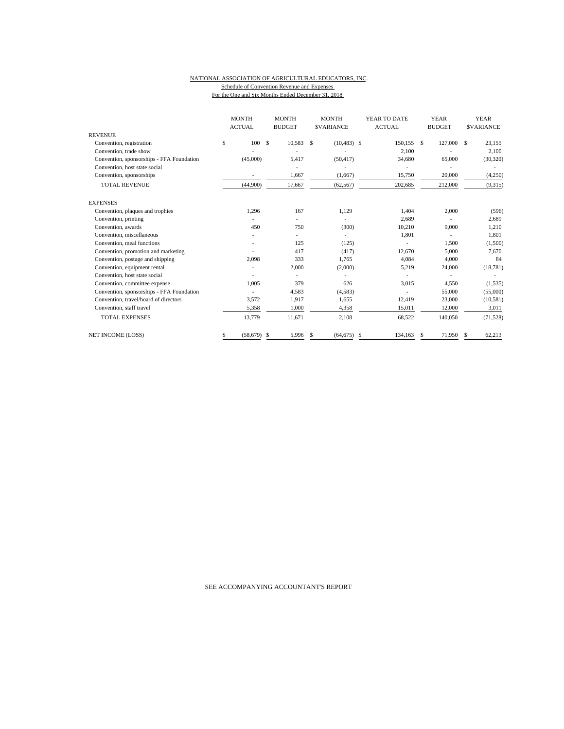#### NATIONAL ASSOCIATION OF AGRICULTURAL EDUCATORS, INC. Schedule of Convention Revenue and Expenses For the One and Six Months Ended December 31, 2018

|                                           | <b>MONTH</b><br><b>ACTUAL</b> |               | <b>MONTH</b><br><b>BUDGET</b> |    | <b>MONTH</b><br><b>SVARIANCE</b> |               | YEAR TO DATE<br><b>ACTUAL</b> |      | <b>YEAR</b><br><b>BUDGET</b> | <b>YEAR</b><br><b>SVARIANCE</b> |           |
|-------------------------------------------|-------------------------------|---------------|-------------------------------|----|----------------------------------|---------------|-------------------------------|------|------------------------------|---------------------------------|-----------|
| <b>REVENUE</b>                            |                               |               |                               |    |                                  |               |                               |      |                              |                                 |           |
| Convention, registration                  | \$<br>100                     | <sup>\$</sup> | 10,583                        | \$ | $(10, 483)$ \$                   |               | 150,155                       | - \$ | 127,000                      | S                               | 23,155    |
| Convention, trade show                    |                               |               |                               |    |                                  |               | 2,100                         |      |                              |                                 | 2,100     |
| Convention, sponsorships - FFA Foundation | (45,000)                      |               | 5,417                         |    | (50, 417)                        |               | 34,680                        |      | 65,000                       |                                 | (30, 320) |
| Convention, host state social             |                               |               |                               |    |                                  |               |                               |      |                              |                                 |           |
| Convention, sponsorships                  |                               |               | 1,667                         |    | (1,667)                          |               | 15,750                        |      | 20,000                       |                                 | (4,250)   |
| <b>TOTAL REVENUE</b>                      | (44,900)                      |               | 17,667                        |    | (62, 567)                        |               | 202,685                       |      | 212,000                      |                                 | (9,315)   |
| <b>EXPENSES</b>                           |                               |               |                               |    |                                  |               |                               |      |                              |                                 |           |
| Convention, plaques and trophies          | 1.296                         |               | 167                           |    | 1,129                            |               | 1,404                         |      | 2,000                        |                                 | (596)     |
| Convention, printing                      |                               |               |                               |    |                                  |               | 2,689                         |      |                              |                                 | 2,689     |
| Convention, awards                        | 450                           |               | 750                           |    | (300)                            |               | 10,210                        |      | 9,000                        |                                 | 1,210     |
| Convention, miscellaneous                 |                               |               |                               |    |                                  |               | 1.801                         |      | ÷.                           |                                 | 1,801     |
| Convention, meal functions                |                               |               | 125                           |    | (125)                            |               |                               |      | 1,500                        |                                 | (1,500)   |
| Convention, promotion and marketing       |                               |               | 417                           |    | (417)                            |               | 12,670                        |      | 5,000                        |                                 | 7,670     |
| Convention, postage and shipping          | 2,098                         |               | 333                           |    | 1,765                            |               | 4,084                         |      | 4,000                        |                                 | 84        |
| Convention, equipment rental              |                               |               | 2,000                         |    | (2,000)                          |               | 5,219                         |      | 24,000                       |                                 | (18, 781) |
| Convention, host state social             |                               |               |                               |    |                                  |               |                               |      |                              |                                 |           |
| Convention, committee expense             | 1.005                         |               | 379                           |    | 626                              |               | 3,015                         |      | 4,550                        |                                 | (1, 535)  |
| Convention, sponsorships - FFA Foundation |                               |               | 4,583                         |    | (4,583)                          |               |                               |      | 55,000                       |                                 | (55,000)  |
| Convention, travel/board of directors     | 3,572                         |               | 1,917                         |    | 1,655                            |               | 12,419                        |      | 23,000                       |                                 | (10, 581) |
| Convention, staff travel                  | 5,358                         |               | 1,000                         |    | 4,358                            |               | 15,011                        |      | 12,000                       |                                 | 3,011     |
| <b>TOTAL EXPENSES</b>                     | 13,779                        |               | 11,671                        |    | 2.108                            |               | 68,522                        |      | 140,050                      |                                 | (71, 528) |
| <b>NET INCOME (LOSS)</b>                  | \$<br>(58, 679)               | S             | 5,996                         | \$ | (64, 675)                        | <sup>\$</sup> | 134,163                       | S    | 71,950                       | S                               | 62,213    |

SEE ACCOMPANYING ACCOUNTANT'S REPORT